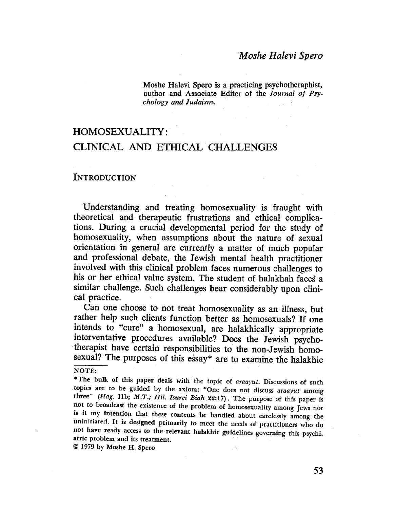# Moshe Halevi Spero

Moshe Halevi Spero is a practicing psychotheraphist, author and Associate Editor of the Journal of Psychology and Judaism.

# HOMOSEXUALITY: CLINICAL AND ETHICAL CHALLENGES

#### **INTRODUCTION**

Understanding and treating homosexuality is fraught with theoretical and therapeutic frustrations and ethical complications. During. a crucial developmental period for the study of homosexuality, when assumptions about the nature of sexual orientation in general are currently a matter of much popular and professional debate, the Jewish mental health practitioner involved with this clinical problem faces numerous challenges to his or her ethical value system. The student of halakhah faces a similar challenge. Such challenges bear considerably upon clinical practice.

Can one choose to not treat homosexuality as an illness, but rather help such clients function better as homosexuals? If one intends to "cure" a 'homosexual, are halakhically 'appropriate interventative procedures available? Does the Jewish psycho therapist have certain responsibilities to the non-Jewish homosexual? The purposes of this essay\* are to examine the halakhic

 $\pm$  3

 $© 1979 by Moshe H. Spec$ 

53

NOTE:

<sup>\*</sup>The bulk of this paper deals with the topic of araayut. Discussions of such . topics are to be guided by the axiom: "One does not discuss araayut among three" (Hag. 11b; M.T.; Hil. Isurei Biah 22:17). The purpose of this paper is not to broadcast the existence of the problem of homosexuality among Jews nor is it my intention that these contents be bandied about carelessly among the uninitiated. It is designed primarily to meet the needs of practitioners who do not have ready access to the relevant halakhic guidelines governing this psychi. atric problem and its treatment.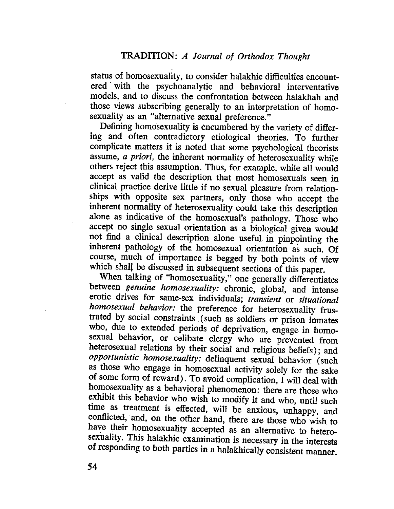# TRDITION: A Journal of Orthodox Thought

status of homosexuality, to consider halakhic difficulties encountered' with the psychoanalytic and behavioral interventative models, and to discuss the confrontation between halakhah and those views subscribing generally to an interpretation of homosexuality as an "alternative sexual preference."

Defining homosexuality is encumbered by the variety of differing and often contradictory etiological theories. To further complicate matters it is noted that some psychological theorists assume, a priori, the inherent normality of heterosexuality while others reject this assumption. Thus, for example, while all would accept as valid the description that most homosexuals seen in clinical practice derive little if no sexual pleasure from relationships with opposite sex partners, only those who accept the inherent normality of heterosexuality could take this description alone as indicative of the homosexual's pathology. Those who accept no single sexual orientation as a biological given would not find a clinical description alone useful in pinpointing the inherent pathology of the homosexual orientation as such. Of course, much of importance is begged by both points of view which shall be discussed in subsequent sections of this paper.

When talking of "homosexuality," one generally differentiates between genuine homosexuality: chronic, global, and intense erotic drives for same-sex individuals; transient or situational homosexual behavior: the preference for heterosexuality frustrated by social constraints (such as soldiers or prison inmates who, due to extended periods of deprivation, engage in homosexual behavior, or celibate clergy who are prevented from heterosexual relations by their social and religious beliefs); and opportunistic homosexuality: delinquent sexual behavior (such as those who engage in homosexual activity solely for the sake of some form of reward). To avoid complication, I will deal with homosexuality as a behavioral phenomenon: there are those who exhibit this behavior who wish to modify it and who, until such time as treatment is effected, will be anxious, unhappy, and conflicted, and, on the other hand, there are those who wish to have their homosexuality accepted as an alternative to heterosexuality. This halakhic examination is necessary in the interests of responding to both parties in a halakhically consistent manner.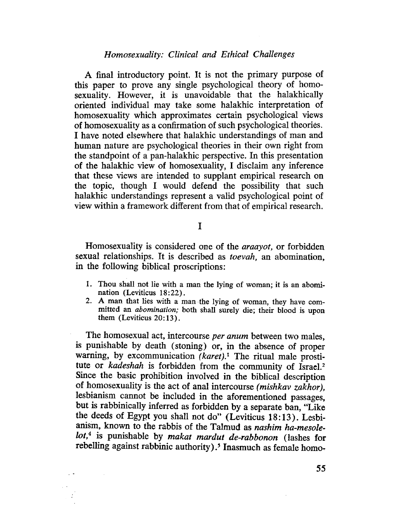Homosexuality: Clinical and Ethical Challenges

A final introductory point. It is not the primary purpose of this paper to prove any single psychological theory of homosexuality. However, it is unavoidable that the halakhically oriented individual may take some halakhic interpretation of homosexuality which approximates certain psychological views of homosexuality as a confirmation of such psychological theoriès. I have noted elsewhere that halakhic understandings of man and human nature are psychological theories in their own right from the standpoint of a pan-halakhic perspective. In this presentation of the halakhic view of homosexuality, I disclaim any inference that these views are intended to supplant empirical research on the topic, though I would defend the possibility that such halakhic understandings represent a valid psychological point of view within a framework different from that of empirical research.

# I

Homosexuality is considered one of the araayot, or forbidden sexual relationships. It is described as toevah, an abomination, in the following biblical proscriptions:

- 1. Thou shall not lie with a man the lying of woman; it is an abomination (Leviticus 18:22).
- 2. A man that lies with a man the lying of woman, they have committed an abomination; both shall surely die; their blood is upon them  $(Leviticus 20:13)$ .

The homosexual act, intercourse per anum between two males, is punishable by death (stoning) or, in the absence of proper warning, by excommunication  $(karet)$ .<sup>1</sup> The ritual male prostitute or kadeshah is forbidden from the community of Israel.<sup>2</sup> Since the basic prohibition involved in the biblical description of homosexuality is the act of anal intercourse (mishkav zakhor), lesbianism cannot be included in the aforementioned passages, but is rabbinically inferred as forbidden by a separate ban, "Like the deeds of Egypt you shall not do" (Leviticus 18:13). Lesbianism, known to the rabbis of the Talmud as nashim ha-mesole $lot<sup>4</sup>$  is punishable by makat mardut de-rabbonon (lashes for rebelling against rabbinic authority).<sup>5</sup> Inasmuch as female homo-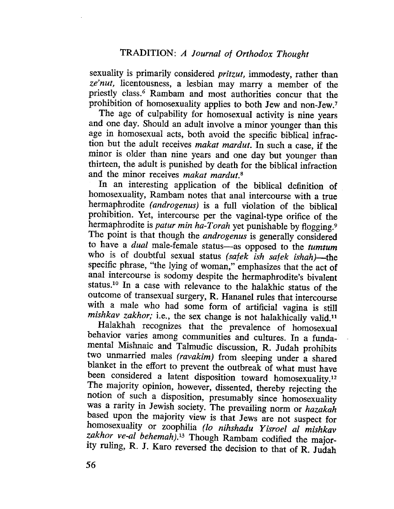sexuality is primarily considered pritzut, immodesty, rather than ze'nut, licentousness, a lesbian may marry a member of the priestly cIass.6 Rambam and most authorities concur that the prohibition of homosexuality applies to both Jew and non~Jew,7

The age of culpability for homosexual activity is nine years and one day. Should an adult involve a minor younger than this age in homosexual acts, both avoid the specifc biblical infraction but the adult receives makat mardut. In such a case, if the minor is older than nine years and one day but younger than thirteen, the adult is punished by death for the biblical infraction and the minor receives makat mardut.<sup>8</sup>

In an interesting application of the biblical definition of homosexuality, Rambam notes that anal intercourse with a true hermaphrodite (androgenus) is a full violation of the biblical prohibition. Yet, intercourse per the vaginal~type orifice of the hermaphrodite is patur min ha-Torah yet punishable by flogging.<sup>9</sup> The point is that though the *androgenus* is generally considered to have a *dual* male-female status-as opposed to the tumtum who is of doubtful sexual status (safek ish safek ishah)—the specific phrase, "the lying of woman," emphasizes that the act of anal intercourse is sodomy despite the hermaphrodite's bivalent status.<sup>10</sup> In a case with relevance to the halakhic status of the outcome of transexual surgery, R. Hananel rules that intercourse with a male who had some form of artificial vagina is still mishkav zakhor; i.e., the sex change is not halakhically valid.<sup>11</sup>

Halakhah recognizes that the prevalence of homosexual behavior varies among communities and cultures. In a fundamental Mishnaic and Talmudic discussion, R. Judah prohibits two unmarried males (ravakim) from sleeping under a shared blanket in the effort to prevent the outbreak of what must have been considered a latent disposition toward homosexuality.<sup>12</sup> The majority opinion, however, dissented, thereby rejecting the notion of such a disposition, presumably since homosexuality was a rarity in Jewish society. The prevailing norm or hazakah based upon the majority view is that Jews are not suspect for homosexuality or zoophilia (lo nihshadu Yisroel al mishkav zakhor ve-al behemah).<sup>13</sup> Though Rambam codified the majority ruling, R. J. Karo reversed the decision to that of R. Judah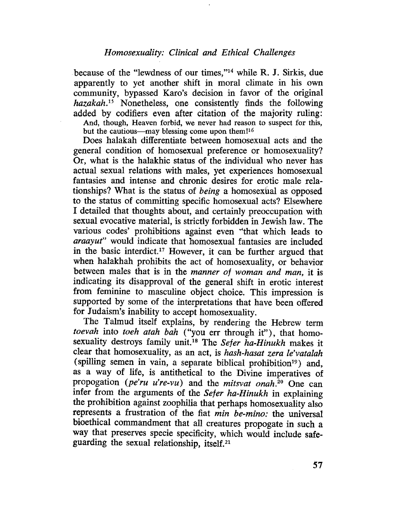because of the "lewdness of our times,"14 while R. J. Sirkis, due apparently to yet another shift in moral climate in his own community, bypassed Karo's decision in favor of the original hazakah.15 Nonetheless, one consistently finds the following added by codifers even after citation of the majority ruling:

And, though, Heaven forbid, we never had reason to suspect for this, but the cautious—may blessing come upon them!<sup>16</sup>

Does halakah differentiate between homosexual acts and the general condition of homosexual preference or homosexuality? Or, what is the halakhic status of the individual who never has actual sexual relations with males, yet experiences homosexual fantasies and intense and chronic desires for erotic male relationships? What is the status of being a homosexúal as opposed to the status of committing specific homosexual acts? Elsewhere I detailed that thoughts about, and certainly preoccupation with sexual evocative material, is strictly forbidden in Jewish law. The various codes' prohibitions against even "that which leads to araayut" would indicate that homosexual fantasies are included in the basic interdict.<sup>17</sup> However, it can be further argued that when halakhah prohibits the act of homosexuality, or behavior between males that is in the manner of woman and man, it is indicating its disapproval of the general shift in erotic interest from feminine to masculine object choice. This impression is supported by some of the interpretations that have been offered for Judaism's inability to accept homosexuality.

The Talmud itself explains, by rendering the Hebrew term toevah into toeh atah bah ("you err through it"), that homosexuality destroys family unit.<sup>18</sup> The Sefer ha-Hinukh makes it clear that homosexuality, as an act, is hash-hasat zera le'vatalah (spilling semen in vain, a separate biblical prohibition<sup>19</sup>) and, as a way of life, is antithetical to the Divine imperatives of propogation (pe'ru u're-vu) and the mitsvat onah.<sup>20</sup> One can infer from the arguments of the Sefer ha-Hinukh in explaining the prohibition against zoophilia that perhaps homosexuality also represents a frustration of the fiat min be-mino: the universal bioethical commandment that all creatures propogate in such a way that preserves specie specificity, which would include safeguarding the sexual relationship, itself.<sup>21</sup>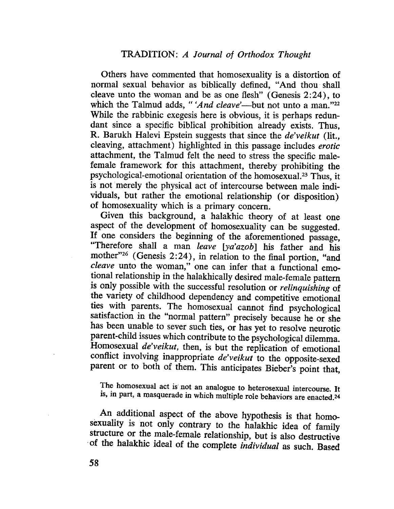Others have commented that homosexuality is a distortion of normal sexual behavior as biblically defined, "And thou shall cleave unto the woman and be as one flesh" (Genesis  $2:24$ ), to which the Talmud adds, "'And cleave'—but not unto a man."<sup>22</sup> While the rabbinic exegesis here is obvious, it is perhaps redundant since a specific biblical prohibition already exists. Thus, R. Barukh Halevi Epstein suggests that since the de'veikut (lit., cleaving, attachment) highlighted in this passage includes erotic attachment, the Talmud felt the need to stress the specific malefemale framework for this attachment, thereby prohibiting the psychological-emotional orientation of the homosexual.<sup>23</sup> Thus, it is not merely the physical act of intercourse between male individuals, but rather the emotional relationship (or disposition) of homosexuality which is a primary concern.

Given this background, a halakhic theory of at least one aspect of the development of homosexuality can be suggested. If one considers the beginning of the aforementioned passage, "Therefore shall a man leave [ya'azob] his father and his mother"<sup>26</sup> (Genesis 2:24), in relation to the final portion, "and cleave unto the woman," one can infer that a functional emotional relationship in the halakhically desired male-female pattern is only possible with the successful resolution or *relinquishing* of the variety of childhood dependency and competitive emotional ties with parents. The homosexual cannot find psychological satisfaction in the "normal pattern" precisely because he or she has been unable to sever such ties, or has yet to resolve neurotic parent-child issues which contribute to the psychological dilemma. Homosexual *de'veikut*, then, is but the replication of emotional conflict involving inappropriate de'veikut to the opposite-sexed parent or to both of them. This anticipates Bieber's point that,

The homosexual act is' not an analogue to heterosexual intercourse. It is, in part, a masquerade in which multiple role behaviors are enacted.24

An additional aspect of the above hypothesis is that homosexuality is not only contrary to the halakhic idea of family structure or the male-female relationship, but is also destructive 'of the halakhic ideal of the complete individual as such. Based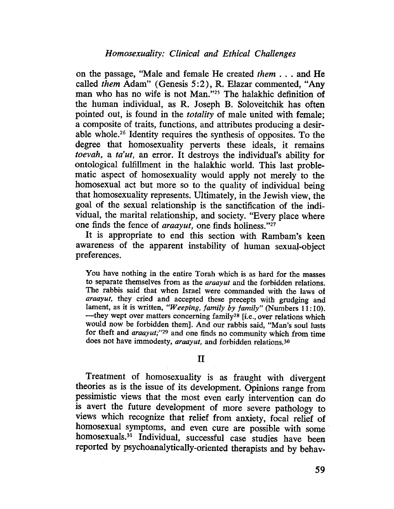on the passage, "Male and female He created them . . . and He called them Adam" (Genesis 5:2), R. Elazar commented, "Any man who has no wife is not Man."25 The halakhic definition of the human individual, as R. Joseph B. Soloveitchik has often pointed out, is found in the totality of male united with female; a composite of traits, functions, and attributes producing a desirable whole.26 Identity requires the synthesis of opposites. To the degree that homosexuality perverts these ideals, it remains toevah, a ta'ut, an error. It destroys the individual's ability for ontological fulfillment in the halakhic world. This last problematic aspect of homosexuality would apply not merely to the homosexual act but more so to the quality of individual being that homosexuality represents. Ultimately, in the Jewish view, the goal of the sexual relationship is the sanctification of the individual, the marital relationship, and society. "Every place where one finds the fence of *araayut*, one finds holiness."<sup>27</sup>

It is appropriate to end this section with Rambam's keen awareness of the apparent instability of human sexual-object preferences.

You have nothing in the entire Torah which is as hard for the masses to separate themselves from as the araayut and the forbidden relations. The rabbis said that when Israel were commanded with the laws of araayut, they cried and accepted these precepts with grudging and lament, as it is written, "Weeping, family by family" (Numbers 11:10).  $-$ they wept over matters concerning family<sup>28</sup> [i.e., over relations which would now be forbidden them). And our rabbis said, "Man's soul lusts for theft and araayut;"29 and one fids no community which from time does not have immodesty, araayut, and forbidden relations.<sup>30</sup>

#### II

Treatment of homosexuality is as fraught with divergent theories as is the issue of its development. Opinions range from pessimistic views that the most even early intervention can do is avert the future development of more severe pathology to views which recognize that relief from anxiety, focal relief of homosexual symptoms, and even cure are possible with some' homosexuals.<sup>31</sup> Individual, successful case studies have been reported by psychoanalytically-oriented therapists and by behav-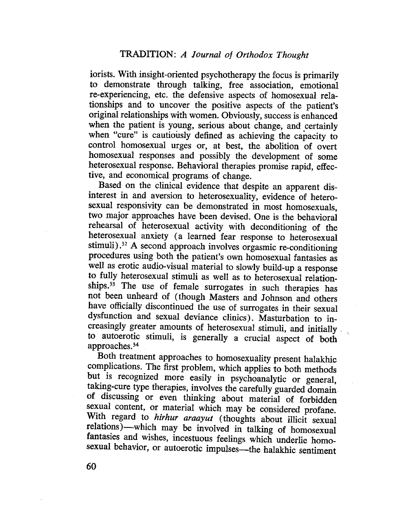iorists. With insight-oriented psychotherapy the focus is primarily to demonstrate through talking, free association, emotional re-experiencing, etc. the defensive aspects of homosexual relationships and to uncover the positive aspects of the patient's original relationships with women. Obviously, success is enhanced when the patient is young, serious about change, and certainly when "cure" is cautiously defined as achieving the capacity to control homosexual urges or, at best, the abolition of overt homosexual responses and possibly the development of some heterosexual response. Behavioral therapies promise rapid, effective, and economical programs of change.

Based on the clinical evidence that despite an apparent disinterest in and aversion to heterosexuality, evidence of heterosexual responsivity can be demonstrated in most homosexuals, two major approaches have been devised. One is the behavioral rehearsal of heterosexual activity with deconditioning of the heterosexual anxiety (a learned fear response to heterosexual stimuli).32 A second approach involves orgasmic re-conditioning procedures using both the patient's own homosexual fantasies as well as erotic audio-visual material to slowly build-up a response to fully heterosexual stimuli as well as to heterosexual relationships.<sup>33</sup> The use of female surrogates in such therapies has not been unheard of (though Masters and Johnson and others have officially discontinued the use of surrogates in their sexual dysfunction and sexual deviance clinics). Masturbation to increasingly greater amounts of heterosexual stimuli, and initially . to autoerotic stimuli, is generally a crucial aspect of both approaches. 34

Both treatment approaches to homosexuality present halakhic complications. The first problem, which applies to both methods but is recognized more easily in psychoanalytic or general, takig-cure type therapies, involves the carefully guarded domain of discussing or even thinking about material of forbidden sexual content, or material which may be considered profane. With regard to hirhur araayut (thoughts about illicit sexual relations)—which may be involved in talking of homosexual fantasies and wishes, incestuous feelings which underlie homosexual behavior, or autoerotic impulses—the halakhic sentiment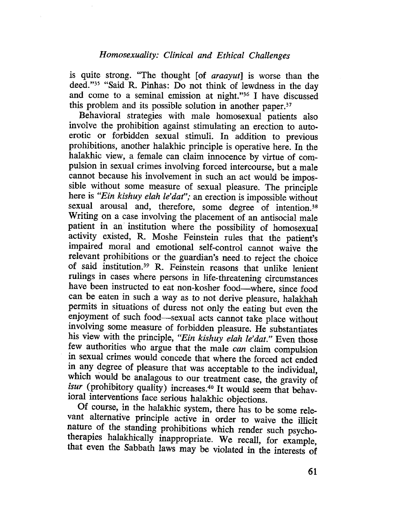is quite strong. "The thought  $[of *araguayut*]$  is worse than the deed."<sup>35</sup> "Said R. Pinhas: Do not think of lewdness in the day and come to a seminal emission at night. "36 I have discussed this problem and its possible solution in another paper.37

Behavioral strategies with male homosexual patients also involve the prohibition against stimulating an erection to autoerotic or forbidden sexual stimuli. In addition to previous prohibitions, another halakhic principle is operative here. In the halakhic view, a female can claim innocence by virtue of compulsion in sexual crimes involving forced intercourse, but a male cannot because his involvement in such an act would be impossible without some measure of sexual pleasure. The principle here is "Ein kishuy elah le'dat"; an erection is impossible without sexual arousal and, therefore, some degree of intention.<sup>38</sup> Writing on a case involving the placement of an antisocial male patient in an institution where the possibility of homosexual activity existed, R. Moshe Feinstein rules that the patient's impaired moral and emotional self-control cannot waive the relevant prohibitions or the guardian's need, to reject the choice of said institution.<sup>39</sup> R. Feinstein reasons that unlike lenient ruligs in cases where persons in life-threatening circumstances have been instructed to eat non-kosher food-where, since food can be eaten in such a way as to not derive pleasure, halakhah permits in situatìons of duress not only the eating but even the enjoyment of such food-sexual acts cannot take place without involvig some measure of forbidden pleasure. He substantiates his view with the principle, "Ein kishuy elah le'dat." Even those few authorities who argue that the male can claim compulsion in sexual crimes would concede that where the forced act ended in any degree of pleasure that was acceptable to the individual, which would be analagous to our treatment case, the gravity of isur (prohibitory quality) increases.<sup>40</sup> It would seem that behavioral interventions face serious halakhic objections.

Of course, in the halakhic system, there has to be some relevant alternative principle active in order to waive the ilicit nature of the standing prohibitions which render such psychotherapies halakhically inappropriate. We recall, for example, that even the Sabbath laws may be violated in the interests of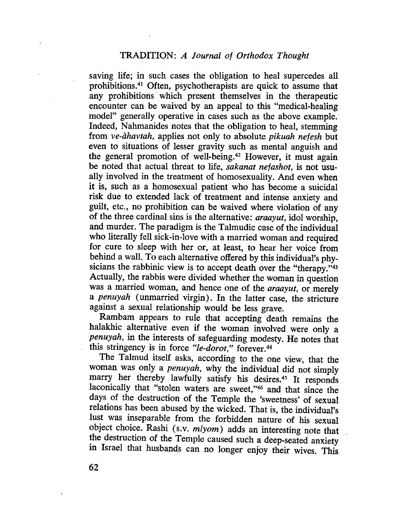saving life; in such cases the obligation to heal supercedes all prohibitions.41 Often, psychotherapists are quick to assume that any prohibitions which present themselves in the therapeutic encounter can be waived by an appeal to this "medical-healing model" generally operative in cases such as the above example. Indeed, Nahmanides notes that the obligation to heal, stemming from ve-àhavtah, applies not only to absolute pikuah nefesh but even to situations of lesser gravity such as mental anguish and the general promotion of well-being.42 However, it must again be noted that actual threat to life, sakanat nefashot, is not usually involved in the treatment of homosexuality. And even when it is, such as a homosexual patient who has become a suicidal risk due to extended lack of treatment and intense anxiety and guilt, etc., no prohibition can be waived where violation of any of the three cardinal sins is the alternative: araayut, idol worship, and murder. The paradigm is the Talmudic case of the individual who literally fell sick-in-love with a married woman and required for cure to sleep with her or, at least, to hear her voice from behind a wall. To each alternative offered by this individual's physicians the rabbinic view is to accept death over the "therapy."43 Actually, the rabbis were divided whether the woman in question was a married woman, and hence one of the araayut, or merely a penuyah (unmarried virgin). In the latter case, the stricture against a sexual relationship would be less grave.

Rambam appears to rule that accepting death remains the halakhic alternative even if the woman involved were only a penuyah, in the interests of safeguarding modesty. He notes that this stringency is in force "le-dorot," forever.<sup>44</sup>

The Talmud itself asks, according to the one view, that the woman was only a penuyah, why the individual did not simply marry her thereby lawfully satisfy his desires.45 It responds laconically that "stolen waters are sweet,"46 and that since the days of the destruction of the Temple the 'sweetness' of sexual relations has been abused by the wicked. That is, the individual's lust was inseparable from the forbidden nature of his sexual object choice. Rashi (s.v.  $miyom$ ) adds an interesting note that the destruction of the Temple caused such a deep-seated anxiety in Israel that husbands can no longer enjoy their wives. This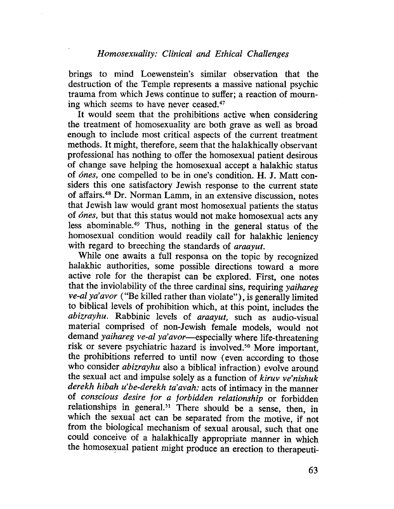brings to mind Loewenstein's similar observation that the destruction of the Temple represents a massive national psychic trauma from which Jews continue to suffer; a reaction of mourning which seems to have never ceased.<sup>47</sup>

It would seem that the prohibitions active when considering the treatment of homosexuality are both grave as well as broad enough to include most critical aspects of the current treatment methods. It might, therefore, seem that the halakhically observant professional has nothing to offer the homosexual patient desirous of change save helping the homosexual accept a halakhic status of ónes, one compelled to be in one's condition. H. J. Matt considers this one satisfactory Jewish response to the current state of affairs.48 Dr. Norman Lamm, in an extensive discussion, notes that Jewish law would grant most homosexual patients the status of ónes, but that this status would not make homosexual acts any less abominable.49 Thus, nothing in the general status of the homosexual condition would readily call for halakhic leniency with regard to breeching the standards of araayut.

While one awaits a full responsa on the topic by recognized halakhic authorities, some possible directions toward a more active role for the therapist can be explored. First, one notes that the inviolability of the three cardinal sins, requiring yaihareg ve-al ya' avor ("Be killed rather than violate"), is generally limited to biblical levels of prohibition which, at this point, includes the abizrayhu. Rabbinic levels of araayut, such as audio-visual material comprised of non-Jewish female models, would not demand yaihareg ve-al ya'avor-specially where life-threatening risk or severe psychiatric hazard is involved. 50 More important, the prohibitions referred to until now (even according to those who consider *abizrayhu* also a biblical infraction) evolve around the sexual act and impulse solely as a function of kiruv ve'nishuk derekh hibah u'be-derekh ta' avah: acts of intimacy in the manner of conscious desire for a forbidden relationship or forbidden relationships in general.<sup>51</sup> There should be a sense, then, in which the sexual act can be separated from the motive, if not from the biological mechanism of sexual arousal, such that one could conceive of a halakhically appropriate manner in which the homosexual patient might produce an erection to therapeuti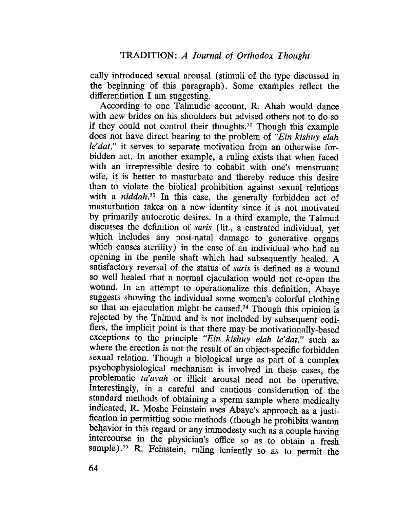cally introduced sexual arousal (stimuli of the type discussed in the beginning of this paragraph). Some examples reflect the differentiation I am suggesting.

According to one Talmudic account, R. Ahah would dance with new brides on his shoulders but advised others not to do so if they could not control their thoughts.<sup>52</sup> Though this example does not have direct bearing to the problem of "Ein kishuy elah" le'dat," it serves to separate motivation from an otherwise forbidden act. In another example, a ruling exists that when faced with an irrepressible desire to cohabit with one's menstruant wife, it is better to masturbate and thereby reduce this desire than to violate the biblical prohibition against sexual relations with a  $niddah.$ <sup>53</sup> In this case, the generally forbidden act of masturbation takes on a new identity since it is not motivated by primarily autoerotic desires. In a third example, the Talmud discusses the definition of saris (lit., a castrated individual, yet which includes any post-natal damage to generative organs which causes sterility) in the case of an individual who had an opening in the penile shaft which had subsequently healed. A satisfactory reversal of the status of saris is defined as a wound so well healed that a normal ejaculation would not re-open the wound. In an attempt to operationalize this definition, Abaye suggests showing the individual some women's colorful clothing so that an ejaculation might be caused.<sup>54</sup> Though this opinion is rejected by the Talmud and is not included by subsequent codifiers, the implicit point is that there may be motivationally-based exceptions to the principle "Ein kishuy elah le'dat," such as where the erection is not the result of an object-specific forbidden sexual relation. Though a biological urge as part of a complex psychophysiological mechanism is involved in these cases, the problematic ta' avah or illicit arousal need not be operative. Interestingly, in a careful and cautious consideration of the standard methods of obtaining a sperm sample where medically indicated, R. Moshe Feinstein uses Abaye's approach as a justification in permitting some methods (though he prohibits wanton behavior in this regard or any immodesty such as a couple having intercourse in the physician's office so as to obtain a fresh sample).<sup>55</sup> R. Feinstein, ruling leniently so as to permit the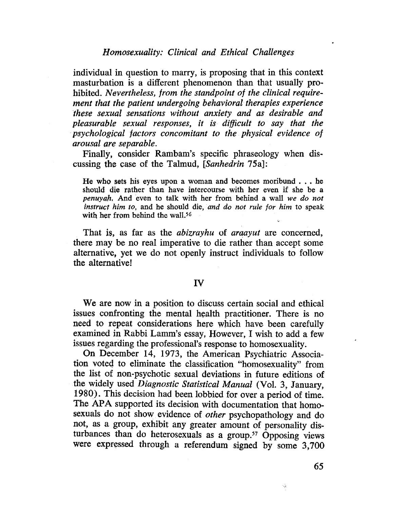individual in question to marry, is proposing that in this context masturbation is a different phenomenon than that usually prohibited. Nevertheless, from the standpoint of the clinical requirement that the patient undergoing behavioral therapies experience these sexual sensations without anxiety and as desirable and pleasurable sexual responses, it is diffcult to say that the psychological factors concomitant to the physical evidence of arousal are separable.

Finally, consider Rambam's specific phraseology when discussing the case of the Talmud, (Sanhedrin 75a):

He who sets his eyes upon a woman and becomes moribund . . . he should die rather than have intercourse with her even if she be a penuyah. And even to talk with her from behind a wall we do not instruct him to, and he should die, and do not rule for him to speak with her from behind the wall.<sup>56</sup> e,

That is, as far as the *abizrayhu* of *araayut* are concerned, there may be no real imperative to die rather than accept some alternative, yet we do not openly instruct individuals to follow the alternative!

#### IV

We are now in a position to discuss certain social and ethical issues confronting the mental health practitioner. There is no need to repeat considerations here which have been carefully examined in Rabbi Lamm's essay, However, I wish to add a few issues regarding the professional's response to homosexuality.

On December 14, 1973, the American Psychiatric Association voted. to eliminate the classification "homosexuality" from the list of non~psychotic sexual deviations in future editions of the widely used Diagnostic Statistical Manual (VoL. 3, January, 1980). This decision had been lobbied for over a period of time. The APA supported its decision with documentation that homosexuals do not show evidence of other psychopathology and do not, as a group, exhibit any greater amount of personality disturbances than do heterosexuals as a group.<sup>57</sup> Opposing views were expressed through a referendum signed by some 3,700

 $\mathbf{v}_\mathrm{f}$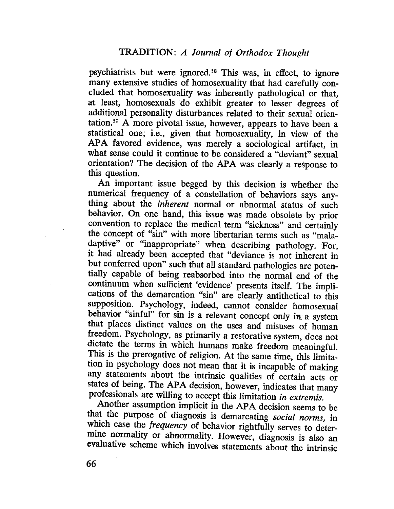psychiatrists but were ignored.<sup>58</sup> This was, in effect, to ignore many extensive studies of homosexuality that had carefully concluded that homosexuality was inherently pathological or that, at least, homosexuals do exhibit greater to lesser degrees of additional personality disturbances related to their sexual orientation.59 A more pivotal issue, however, appears to have been a statistical one; i.e., given that homosexuality, in view of the APA favored evidence, was merely a sociological artifact, in what sense could it continue to be considered a "deviant" sexual orientation? The decision of the APA was clearly a response to this question.

An important issue begged by this decision is whether the numerical frequency of a constellation of behaviors says anything about the *inherent* normal or abnormal status of such behavior. On one hand, this issue was made obsolete by prior convention to replace the medical term "sickness" and certainly the concept of "sin" with more libertarian terms such as "maladaptive" or "inappropriate" when describing pathology. For, it had already been accepted that "deviance is not inherent in but conferred upon" such that all standard pathologies are potentially capable of being reabsorbed into the normal end of the continuum when sufficient 'evidence' presents itself. The implications of the demarcation "sin" are clearly antithetical to this supposition. Psychology, indeed, cannot consider homosexual behavior "sinful" for sin is a relevant concept only in a system that places distinct values on the uses and misuses of human freedom. Psychology, as primarily a restorative system, does not dictate the terms in which humans make freedom meaningfuL. This is the prerogative of religion. At the same time, this limitation in psychology does not mean that it is incapable of making any statements about the intrinsic qualities of certain acts or states of being. The APA decision, however, indicates that many professionals are willing to accept this limitation in extremis.

Another assumption implicit in the APA decision seems to be that the purpose of diagnosis is demarcating social norms, in which case the *frequency* of behavior rightfully serves to determine normality or abnormality. However, diagnosis is also an evaluative scheme which involves statements about the intrinsic